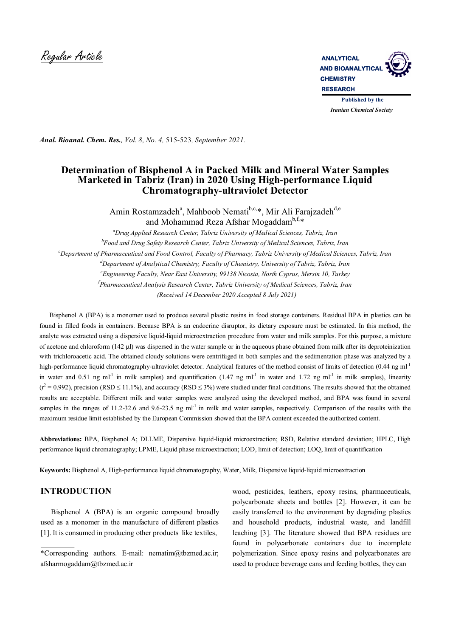

*Anal. Bioanal. Chem. Res., Vol. 8, No. 4,* 515-523*, September 2021.*

# **Determination of Bisphenol A in Packed Milk and Mineral Water Samples Marketed in Tabriz (Iran) in 2020 Using High-performance Liquid Chromatography-ultraviolet Detector**

Amin Rostamzadeh<sup>a</sup>, Mahboob Nemati<sup>b,c,\*</sup>, Mir Ali Farajzadeh<sup>d,e</sup> and Mohammad Reza Afshar Mogaddam<sup>b,f,</sup>\*

*<sup>a</sup>Drug Applied Research Center, Tabriz University of Medical Sciences, Tabriz, Iran b Food and Drug Safety Research Center, Tabriz University of Medical Sciences, Tabriz, Iran <sup>c</sup>Department of Pharmaceutical and Food Control, Faculty of Pharmacy, Tabriz University of Medical Sciences, Tabriz, Iran <sup>d</sup>Department of Analytical Chemistry, Faculty of Chemistry, University of Tabriz, Tabriz, Iran <sup>e</sup>Engineering Faculty, Near East University, 99138 Nicosia, North Cyprus, Mersin 10, Turkey f Pharmaceutical Analysis Research Center, Tabriz University of Medical Sciences, Tabriz, Iran (Received 14 December 2020 Accepted 8 July 2021)*

 Bisphenol A (BPA) is a monomer used to produce several plastic resins in food storage containers. Residual BPA in plastics can be found in filled foods in containers. Because BPA is an endocrine disruptor, its dietary exposure must be estimated. In this method, the analyte was extracted using a dispersive liquid-liquid microextraction procedure from water and milk samples. For this purpose, a mixture of acetone and chloroform (142 µl) was dispersed in the water sample or in the aqueous phase obtained from milk after its deproteinization with trichloroacetic acid. The obtained cloudy solutions were centrifuged in both samples and the sedimentation phase was analyzed by a high-performance liquid chromatography-ultraviolet detector. Analytical features of the method consist of limits of detection (0.44 ng ml<sup>-1</sup> in water and 0.51 ng ml<sup>-1</sup> in milk samples) and quantification (1.47 ng ml<sup>-1</sup> in water and 1.72 ng ml<sup>-1</sup> in milk samples), linearity  $(r^2 = 0.992)$ , precision (RSD  $\leq$  11.1%), and accuracy (RSD  $\leq$  3%) were studied under final conditions. The results showed that the obtained results are acceptable. Different milk and water samples were analyzed using the developed method, and BPA was found in several samples in the ranges of 11.2-32.6 and 9.6-23.5 ng ml<sup>-1</sup> in milk and water samples, respectively. Comparison of the results with the maximum residue limit established by the European Commission showed that the BPA content exceeded the authorized content.

**Abbreviations:** BPA, Bisphenol A; DLLME, Dispersive liquid-liquid microextraction; RSD, Relative standard deviation; HPLC, High performance liquid chromatography; LPME, Liquid phase microextraction; LOD, limit of detection; LOQ, limit of quantification

**Keywords:** Bisphenol A, High-performance liquid chromatography, Water, Milk, Dispersive liquid-liquid microextraction

# **INTRODUCTION**

 Bisphenol A (BPA) is an organic compound broadly used as a monomer in the manufacture of different plastics [1]. It is consumed in producing other products like textiles,

wood, pesticides, leathers, epoxy resins, pharmaceuticals, polycarbonate sheets and bottles [2]. However, it can be easily transferred to the environment by degrading plastics and household products, industrial waste, and landfill leaching [3]. The literature showed that BPA residues are found in polycarbonate containers due to incomplete polymerization. Since epoxy resins and polycarbonates are used to produce beverage cans and feeding bottles, they can

<sup>\*</sup>Corresponding authors. E-mail: nematim@tbzmed.ac.ir; afsharmogaddam@tbzmed.ac.ir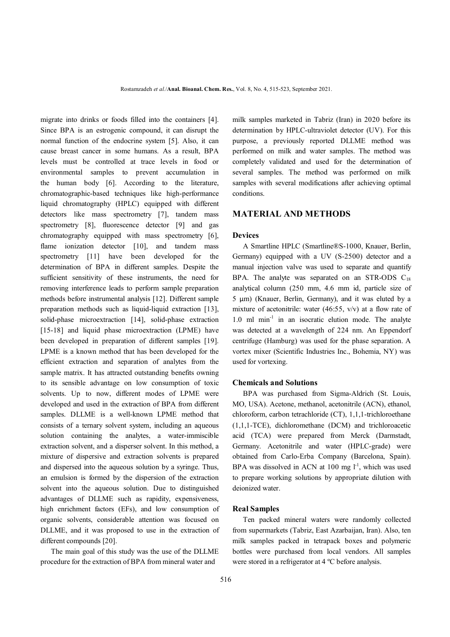migrate into drinks or foods filled into the containers [4]. Since BPA is an estrogenic compound, it can disrupt the normal function of the endocrine system [5]. Also, it can cause breast cancer in some humans. As a result, BPA levels must be controlled at trace levels in food or environmental samples to prevent accumulation in the human body [6]. According to the literature, chromatographic-based techniques like high-performance liquid chromatography (HPLC) equipped with different detectors like mass spectrometry [7], tandem mass spectrometry [8], fluorescence detector [9] and gas chromatography equipped with mass spectrometry [6], flame ionization detector [10], and tandem mass spectrometry [11] have been developed for the determination of BPA in different samples. Despite the sufficient sensitivity of these instruments, the need for removing interference leads to perform sample preparation methods before instrumental analysis [12]. Different sample preparation methods such as liquid-liquid extraction [13], solid-phase microextraction [14], solid-phase extraction [15-18] and liquid phase microextraction (LPME) have been developed in preparation of different samples [19]. LPME is a known method that has been developed for the efficient extraction and separation of analytes from the sample matrix. It has attracted outstanding benefits owning to its sensible advantage on low consumption of toxic solvents. Up to now, different modes of LPME were developed and used in the extraction of BPA from different samples. DLLME is a well-known LPME method that consists of a ternary solvent system, including an aqueous solution containing the analytes, a water-immiscible extraction solvent, and a disperser solvent. In this method, a mixture of dispersive and extraction solvents is prepared and dispersed into the aqueous solution by a syringe. Thus, an emulsion is formed by the dispersion of the extraction solvent into the aqueous solution. Due to distinguished advantages of DLLME such as rapidity, expensiveness, high enrichment factors (EFs), and low consumption of organic solvents, considerable attention was focused on DLLME, and it was proposed to use in the extraction of different compounds [20].

 The main goal of this study was the use of the DLLME procedure for the extraction of BPA from mineral water and

milk samples marketed in Tabriz (Iran) in 2020 before its determination by HPLC-ultraviolet detector (UV). For this purpose, a previously reported DLLME method was performed on milk and water samples. The method was completely validated and used for the determination of several samples. The method was performed on milk samples with several modifications after achieving optimal conditions.

### **MATERIAL AND METHODS**

#### **Devices**

 A Smartline HPLC (Smartline®S-1000, Knauer, Berlin, Germany) equipped with a UV (S-2500) detector and a manual injection valve was used to separate and quantify BPA. The analyte was separated on an STR-ODS  $C_{18}$ analytical column (250 mm, 4.6 mm id, particle size of 5 µm) (Knauer, Berlin, Germany), and it was eluted by a mixture of acetonitrile: water  $(46:55, v/v)$  at a flow rate of 1.0 ml min<sup>-1</sup> in an isocratic elution mode. The analyte was detected at a wavelength of 224 nm. An Eppendorf centrifuge (Hamburg) was used for the phase separation. A vortex mixer (Scientific Industries Inc., Bohemia, NY) was used for vortexing.

### **Chemicals and Solutions**

 BPA was purchased from Sigma-Aldrich (St. Louis, MO, USA). Acetone, methanol, acetonitrile (ACN), ethanol, chloroform, carbon tetrachloride (CT), 1,1,1-trichloroethane (1,1,1-TCE), dichloromethane (DCM) and trichloroacetic acid (TCA) were prepared from Merck (Darmstadt, Germany. Acetonitrile and water (HPLC-grade) were obtained from Carlo-Erba Company (Barcelona, Spain). BPA was dissolved in ACN at 100 mg  $I<sup>-1</sup>$ , which was used to prepare working solutions by appropriate dilution with deionized water.

#### **Real Samples**

 Ten packed mineral waters were randomly collected from supermarkets (Tabriz, East Azarbaijan, Iran). Also, ten milk samples packed in tetrapack boxes and polymeric bottles were purchased from local vendors. All samples were stored in a refrigerator at 4 ºC before analysis.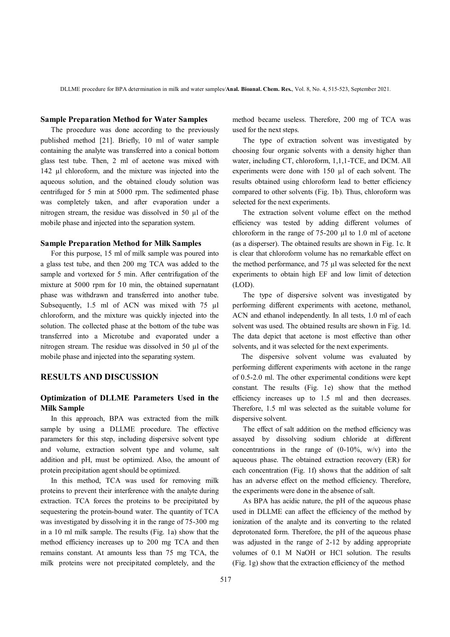DLLME procedure for BPA determination in milk and water samples*/***Anal. Bioanal. Chem. Res.**, Vol. 8, No. 4, 515-523, September 2021.

### **Sample Preparation Method for Water Samples**

 The procedure was done according to the previously published method [21]. Briefly, 10 ml of water sample containing the analyte was transferred into a conical bottom glass test tube. Then, 2 ml of acetone was mixed with 142 µl chloroform, and the mixture was injected into the aqueous solution, and the obtained cloudy solution was centrifuged for 5 min at 5000 rpm. The sedimented phase was completely taken, and after evaporation under a nitrogen stream, the residue was dissolved in 50 µl of the mobile phase and injected into the separation system.

### **Sample Preparation Method for Milk Samples**

 For this purpose, 15 ml of milk sample was poured into a glass test tube, and then 200 mg TCA was added to the sample and vortexed for 5 min. After centrifugation of the mixture at 5000 rpm for 10 min, the obtained supernatant phase was withdrawn and transferred into another tube. Subsequently, 1.5 ml of ACN was mixed with 75 µl chloroform, and the mixture was quickly injected into the solution. The collected phase at the bottom of the tube was transferred into a Microtube and evaporated under a nitrogen stream. The residue was dissolved in 50 µl of the mobile phase and injected into the separating system.

### **RESULTS AND DISCUSSION**

# **Optimization of DLLME Parameters Used in the Milk Sample**

 In this approach, BPA was extracted from the milk sample by using a DLLME procedure. The effective parameters for this step, including dispersive solvent type and volume, extraction solvent type and volume, salt addition and pH, must be optimized. Also, the amount of protein precipitation agent should be optimized.

 In this method, TCA was used for removing milk proteins to prevent their interference with the analyte during extraction. TCA forces the proteins to be precipitated by sequestering the protein-bound water. The quantity of TCA was investigated by dissolving it in the range of 75-300 mg in a 10 ml milk sample. The results (Fig. 1a) show that the method efficiency increases up to 200 mg TCA and then remains constant. At amounts less than 75 mg TCA, the milk proteins were not precipitated completely, and the

method became useless. Therefore, 200 mg of TCA was used for the next steps.

 The type of extraction solvent was investigated by choosing four organic solvents with a density higher than water, including CT, chloroform, 1,1,1-TCE, and DCM. All experiments were done with 150 µl of each solvent. The results obtained using chloroform lead to better efficiency compared to other solvents (Fig. 1b). Thus, chloroform was selected for the next experiments.

 The extraction solvent volume effect on the method efficiency was tested by adding different volumes of chloroform in the range of  $75-200 \mu l$  to 1.0 ml of acetone (as a disperser). The obtained results are shown in Fig. 1c. It is clear that chloroform volume has no remarkable effect on the method performance, and 75 µl was selected for the next experiments to obtain high EF and low limit of detection (LOD).

 The type of dispersive solvent was investigated by performing different experiments with acetone, methanol, ACN and ethanol independently. In all tests, 1.0 ml of each solvent was used. The obtained results are shown in Fig. 1d. The data depict that acetone is most effective than other solvents, and it was selected for the next experiments.

 The dispersive solvent volume was evaluated by performing different experiments with acetone in the range of 0.5-2.0 ml. The other experimental conditions were kept constant. The results (Fig. 1e) show that the method efficiency increases up to 1.5 ml and then decreases. Therefore, 1.5 ml was selected as the suitable volume for dispersive solvent.

 The effect of salt addition on the method efficiency was assayed by dissolving sodium chloride at different concentrations in the range of  $(0-10\%, w/v)$  into the aqueous phase. The obtained extraction recovery (ER) for each concentration (Fig. 1f) shows that the addition of salt has an adverse effect on the method efficiency. Therefore, the experiments were done in the absence of salt.

 As BPA has acidic nature, the pH of the aqueous phase used in DLLME can affect the efficiency of the method by ionization of the analyte and its converting to the related deprotonated form. Therefore, the pH of the aqueous phase was adjusted in the range of 2-12 by adding appropriate volumes of 0.1 M NaOH or HCl solution. The results (Fig. 1g) show that the extraction efficiency of the method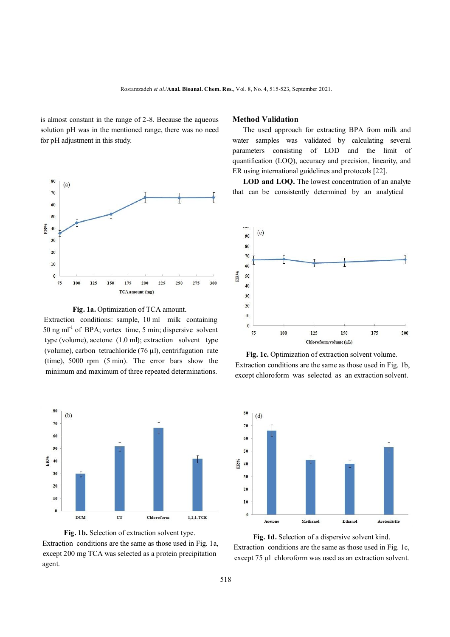is almost constant in the range of 2-8. Because the aqueous solution pH was in the mentioned range, there was no need for pH adjustment in this study.





 Extraction conditions: sample, 10 ml milk containing 50 ng ml-1 of BPA; vortex time, 5 min; dispersive solvent type (volume), acetone (1.0 ml); extraction solvent type (volume), carbon tetrachloride  $(76 \mu l)$ , centrifugation rate (time), 5000 rpm (5 min). The error bars show the minimum and maximum of three repeated determinations.



**Fig. 1b.** Selection of extraction solvent type. Extraction conditions are the same as those used in Fig. 1a, except 200 mg TCA was selected as a protein precipitation agent.

### **Method Validation**

 The used approach for extracting BPA from milk and water samples was validated by calculating several parameters consisting of LOD and the limit of quantification (LOQ), accuracy and precision, linearity, and ER using international guidelines and protocols [22].

 **LOD and LOQ.** The lowest concentration of an analyte that can be consistently determined by an analytical







**Fig. 1d.** Selection of a dispersive solvent kind. Extraction conditions are the same as those used in Fig. 1c, except 75 µl chloroform was used as an extraction solvent.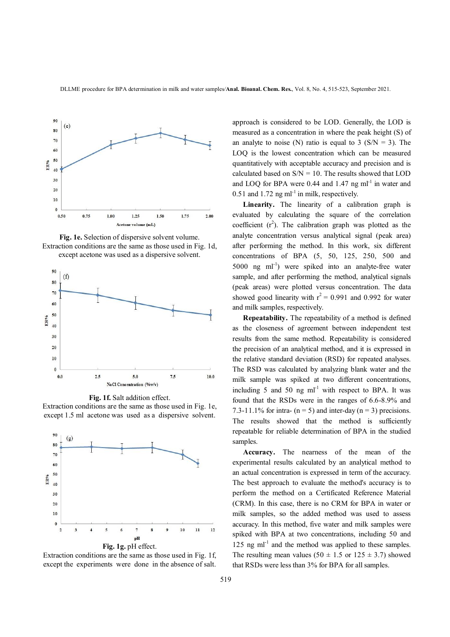

**Fig. 1e.** Selection of dispersive solvent volume. Extraction conditions are the same as those used in Fig. 1d, except acetone was used as a dispersive solvent.



**Fig. 1f.** Salt addition effect. Extraction conditions are the same as those used in Fig. 1e, except 1.5 ml acetone was used as a dispersive solvent.



Extraction conditions are the same as those used in Fig. 1f, except the experiments were done in the absence of salt.

approach is considered to be LOD. Generally, the LOD is measured as a concentration in where the peak height (S) of an analyte to noise (N) ratio is equal to 3 ( $S/N = 3$ ). The LOQ is the lowest concentration which can be measured quantitatively with acceptable accuracy and precision and is calculated based on  $S/N = 10$ . The results showed that LOD and LOQ for BPA were  $0.44$  and  $1.47$  ng ml<sup>-1</sup> in water and  $0.51$  and  $1.72$  ng ml<sup>-1</sup> in milk, respectively.

**Linearity.** The linearity of a calibration graph is evaluated by calculating the square of the correlation coefficient  $(r^2)$ . The calibration graph was plotted as the analyte concentration versus analytical signal (peak area) after performing the method. In this work, six different concentrations of BPA (5, 50, 125, 250, 500 and 5000 ng ml<sup>-1</sup>) were spiked into an analyte-free water sample, and after performing the method, analytical signals (peak areas) were plotted versus concentration. The data showed good linearity with  $r^2 = 0.991$  and 0.992 for water and milk samples, respectively.

**Repeatability.** The repeatability of a method is defined as the closeness of agreement between independent test results from the same method. Repeatability is considered the precision of an analytical method, and it is expressed in the relative standard deviation (RSD) for repeated analyses. The RSD was calculated by analyzing blank water and the milk sample was spiked at two different concentrations, including 5 and 50 ng  $ml^{-1}$  with respect to BPA. It was found that the RSDs were in the ranges of 6.6-8.9% and 7.3-11.1% for intra-  $(n = 5)$  and inter-day  $(n = 3)$  precisions. The results showed that the method is sufficiently repeatable for reliable determination of BPA in the studied samples.

 **Accuracy.** The nearness of the mean of the experimental results calculated by an analytical method to an actual concentration is expressed in term of the accuracy. The best approach to evaluate the method's accuracy is to perform the method on a Certificated Reference Material (CRM). In this case, there is no CRM for BPA in water or milk samples, so the added method was used to assess accuracy. In this method, five water and milk samples were spiked with BPA at two concentrations, including 50 and  $125$  ng ml<sup>-1</sup> and the method was applied to these samples. The resulting mean values (50  $\pm$  1.5 or 125  $\pm$  3.7) showed that RSDs were less than 3% for BPA for all samples.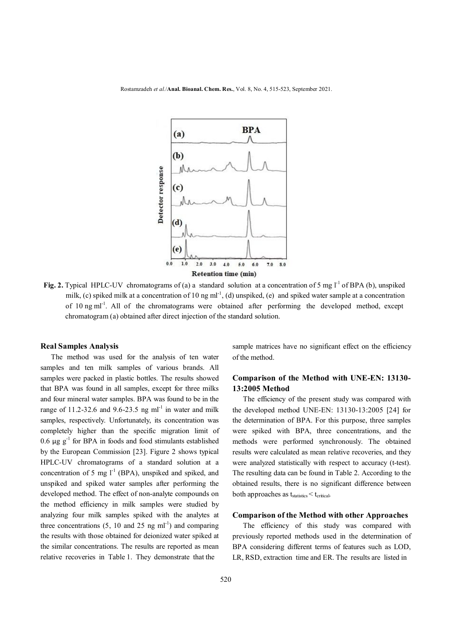

Fig. 2. Typical HPLC-UV chromatograms of (a) a standard solution at a concentration of 5 mg  $I<sup>-1</sup>$  of BPA (b), unspiked milk, (c) spiked milk at a concentration of 10 ng ml<sup>-1</sup>, (d) unspiked, (e) and spiked water sample at a concentration of 10 ng ml<sup>-1</sup>. All of the chromatograms were obtained after performing the developed method, except chromatogram (a) obtained after direct injection of the standard solution.

#### **Real Samples Analysis**

 The method was used for the analysis of ten water samples and ten milk samples of various brands. All samples were packed in plastic bottles. The results showed that BPA was found in all samples, except for three milks and four mineral water samples. BPA was found to be in the range of  $11.2$ -32.6 and  $9.6$ -23.5 ng ml<sup>-1</sup> in water and milk samples, respectively. Unfortunately, its concentration was completely higher than the specific migration limit of 0.6  $\mu$ g g<sup>-1</sup> for BPA in foods and food stimulants established by the European Commission [23]. Figure 2 shows typical HPLC-UV chromatograms of a standard solution at a concentration of 5 mg  $l^{-1}$  (BPA), unspiked and spiked, and unspiked and spiked water samples after performing the developed method. The effect of non-analyte compounds on the method efficiency in milk samples were studied by analyzing four milk samples spiked with the analytes at three concentrations  $(5, 10 \text{ and } 25 \text{ ng ml}^{-1})$  and comparing the results with those obtained for deionized water spiked at the similar concentrations. The results are reported as mean relative recoveries in Table 1. They demonstrate that the

sample matrices have no significant effect on the efficiency of the method.

# **Comparison of the Method with UNE-EN: 13130- 13:2005 Method**

 The efficiency of the present study was compared with the developed method UNE-EN: 13130-13:2005 [24] for the determination of BPA. For this purpose, three samples were spiked with BPA, three concentrations, and the methods were performed synchronously. The obtained results were calculated as mean relative recoveries, and they were analyzed statistically with respect to accuracy (t-test). The resulting data can be found in Table 2. According to the obtained results, there is no significant difference between both approaches as  $t_{\text{statistics}} < t_{\text{critical}}$ .

#### **Comparison of the Method with other Approaches**

The efficiency of this study was compared with previously reported methods used in the determination of BPA considering different terms of features such as LOD, LR, RSD, extraction time and ER. The results are listed in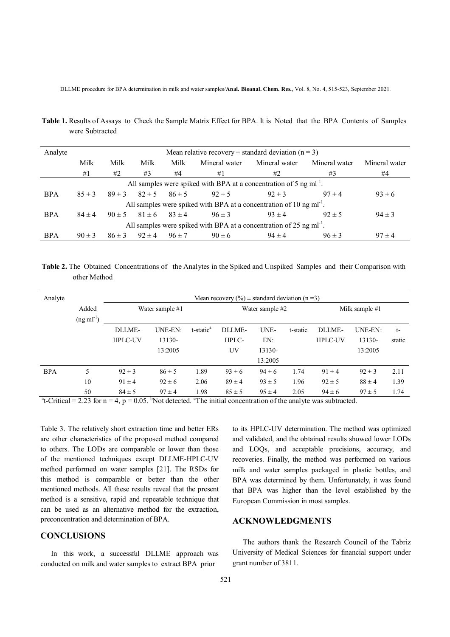DLLME procedure for BPA determination in milk and water samples*/***Anal. Bioanal. Chem. Res.**, Vol. 8, No. 4, 515-523, September 2021.

**Table 1.** Results of Assays to Check the Sample Matrix Effect for BPA. It is Noted that the BPA Contents of Samples were Subtracted

| Analyte                                                                         | Mean relative recovery $\pm$ standard deviation (n = 3) |            |            |            |               |                          |               |               |  |  |
|---------------------------------------------------------------------------------|---------------------------------------------------------|------------|------------|------------|---------------|--------------------------|---------------|---------------|--|--|
|                                                                                 | Milk                                                    | Milk       | Milk       | Milk       | Mineral water | Mineral water            | Mineral water | Mineral water |  |  |
|                                                                                 | #1                                                      | #2         | #3         | #4         | #1            | #2                       | #3            | #4            |  |  |
| All samples were spiked with BPA at a concentration of 5 ng ml <sup>-1</sup> .  |                                                         |            |            |            |               |                          |               |               |  |  |
| <b>BPA</b>                                                                      | $85 \pm 3$                                              | $89 \pm 3$ | $82 \pm 5$ | $86 \pm 5$ | $92 \pm 5$    | $92 \pm 3$<br>$97 \pm 4$ |               | $93 \pm 6$    |  |  |
| All samples were spiked with BPA at a concentration of 10 ng $ml^{-1}$ .        |                                                         |            |            |            |               |                          |               |               |  |  |
| <b>BPA</b>                                                                      | $84 \pm 4$                                              | $90 \pm 5$ | $81 \pm 6$ | $83 \pm 4$ | $96 \pm 3$    | $93 \pm 4$               | $92 \pm 5$    | $94 \pm 3$    |  |  |
| All samples were spiked with BPA at a concentration of 25 ng ml <sup>-1</sup> . |                                                         |            |            |            |               |                          |               |               |  |  |
| <b>BPA</b>                                                                      | $90 \pm 3$                                              | $86 \pm 3$ | $92 \pm 4$ | $96 \pm 7$ | $90 \pm 6$    | $94 \pm 4$               | $96 \pm 3$    | $97 \pm 4$    |  |  |

**Table 2.** The Obtained Concentrations of the Analytes in the Spiked and Unspiked Samples and their Comparison with other Method

| Analyte    |                | Mean recovery $(\% ) \pm$ standard deviation (n =3) |            |                       |            |            |                  |                |            |        |
|------------|----------------|-----------------------------------------------------|------------|-----------------------|------------|------------|------------------|----------------|------------|--------|
|            | Added          | Water sample #1                                     |            | Water sample #2       |            |            | Milk sample $#1$ |                |            |        |
|            | $(ng ml^{-1})$ |                                                     |            |                       |            |            |                  |                |            |        |
|            |                | DLLME-                                              | UNE-EN:    | t-static <sup>a</sup> | DLLME-     | UNE-       | t-static         | DLLME-         | UNE-EN:    | $t-$   |
|            |                | <b>HPLC-UV</b>                                      | 13130-     |                       | HPLC-      | EN:        |                  | <b>HPLC-UV</b> | 13130-     | static |
|            |                |                                                     | 13:2005    |                       | UV         | 13130-     |                  |                | 13:2005    |        |
|            |                |                                                     |            |                       |            | 13:2005    |                  |                |            |        |
| <b>BPA</b> | 5              | $92 \pm 3$                                          | $86 \pm 5$ | 1.89                  | $93 \pm 6$ | $94 \pm 6$ | 1.74             | $91 \pm 4$     | $92 \pm 3$ | 2.11   |
|            | 10             | $91 \pm 4$                                          | $92 \pm 6$ | 2.06                  | $89 \pm 4$ | $93 \pm 5$ | 1.96             | $92 \pm 5$     | $88 \pm 4$ | 1.39   |
|            | 50             | $84 \pm 5$                                          | $97 \pm 4$ | 1.98                  | $85 \pm 5$ | $95 \pm 4$ | 2.05             | $94 \pm 6$     | $97 \pm 5$ | 1.74   |

<sup>a</sup>t-Critical = 2.23 for  $n = 4$ ,  $p = 0.05$ . <sup>b</sup>Not detected. <sup>c</sup>The initial concentration of the analyte was subtracted.

Table 3. The relatively short extraction time and better ERs are other characteristics of the proposed method compared to others. The LODs are comparable or lower than those of the mentioned techniques except DLLME-HPLC-UV method performed on water samples [21]. The RSDs for this method is comparable or better than the other mentioned methods. All these results reveal that the present method is a sensitive, rapid and repeatable technique that can be used as an alternative method for the extraction, preconcentration and determination of BPA.

# **CONCLUSIONS**

 In this work, a successful DLLME approach was conducted on milk and water samples to extract BPA prior

to its HPLC-UV determination. The method was optimized and validated, and the obtained results showed lower LODs and LOQs, and acceptable precisions, accuracy, and recoveries. Finally, the method was performed on various milk and water samples packaged in plastic bottles, and BPA was determined by them. Unfortunately, it was found that BPA was higher than the level established by the European Commission in most samples.

# **ACKNOWLEDGMENTS**

 The authors thank the Research Council of the Tabriz University of Medical Sciences for financial support under grant number of 3811.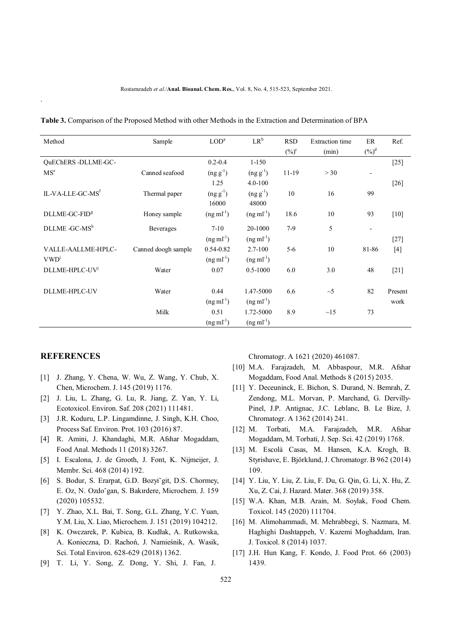| Method                       | Sample              | LOD <sup>a</sup> | $LR^b$         | <b>RSD</b> | <b>Extraction</b> time | ER                       | Ref.    |
|------------------------------|---------------------|------------------|----------------|------------|------------------------|--------------------------|---------|
|                              |                     |                  |                | $(\%)^c$   | (min)                  | $({\%})^d$               |         |
| QuEChERS-DLLME-GC-           |                     | $0.2 - 0.4$      | $1 - 150$      |            |                        |                          | $[25]$  |
| MS <sup>e</sup>              | Canned seafood      | $(ng g-1)$       | $(ng g^{-1})$  | $11-19$    | > 30                   | $\overline{\phantom{a}}$ |         |
|                              |                     | 1.25             | $4.0 - 100$    |            |                        |                          | $[26]$  |
| IL-VA-LLE-GC-MS <sup>f</sup> | Thermal paper       | $(ng g-1)$       | $(ng g^{-1})$  | 10         | 16                     | 99                       |         |
|                              |                     | 16000            | 48000          |            |                        |                          |         |
| DLLME-GC-FID <sup>g</sup>    | Honey sample        | $(ng ml-1)$      | $(ng ml-1)$    | 18.6       | 10                     | 93                       | [10]    |
| DLLME -GC-MSh                | Beverages           | $7-10$           | 20-1000        | $7-9$      | 5                      | $\overline{\phantom{a}}$ |         |
|                              |                     | $(ng ml-1)$      | $(ng ml^{-1})$ |            |                        |                          | $[27]$  |
| VALLE-AALLME-HPLC-           | Canned doogh sample | 0.54-0.82        | $2.7 - 100$    | $5 - 6$    | 10                     | 81-86                    | $[4]$   |
| VWD <sup>1</sup>             |                     | $(ng ml-1)$      | $(ng ml-1)$    |            |                        |                          |         |
| DLLME-HPLC-UV <sup>j</sup>   | Water               | 0.07             | $0.5 - 1000$   | 6.0        | 3.0                    | 48                       | $[21]$  |
|                              |                     |                  |                |            |                        |                          |         |
| DLLME-HPLC-UV                | Water               | 0.44             | 1.47-5000      | 6.6        | $\sim$ 5               | 82                       | Present |
|                              |                     | $(ng ml-1)$      | $(ng ml^{-1})$ |            |                        |                          | work    |
|                              | Milk                | 0.51             | 1.72-5000      | 8.9        | $\sim$ 15              | 73                       |         |
|                              |                     | $(ng ml^{-1})$   | $(ng ml^{-1})$ |            |                        |                          |         |

**Table 3.** Comparison of the Proposed Method with other Methods in the Extraction and Determination of BPA

#### **REFERENCES**

.

- [1] J. Zhang, Y. Chena, W. Wu, Z. Wang, Y. Chub, X. Chen, Microchem. J. 145 (2019) 1176.
- [2] J. Liu, L. Zhang, G. Lu, R. Jiang, Z. Yan, Y. Li, Ecotoxicol. Environ. Saf. 208 (2021) 111481.
- [3] J.R. Koduru, L.P. Lingamdinne, J. Singh, K.H. Choo, Process Saf. Environ. Prot. 103 (2016) 87.
- [4] R. Amini, J. Khandaghi, M.R. Afshar Mogaddam, Food Anal. Methods 11 (2018) 3267.
- [5] I. Escalona, J. de Grooth, J. Font, K. Nijmeijer, J. Membr. Sci. 468 (2014) 192.
- [6] S. Bodur, S. Erarpat, G.D. Bozyi˘git, D.S. Chormey, E. Oz, N. Ozdo˘gan, S. Bakırdere, Microchem. J. 159 (2020) 105532.
- [7] Y. Zhao, X.L. Bai, T. Song, G.L. Zhang, Y.C. Yuan, Y.M. Liu, X. Liao, Microchem. J. 151 (2019) 104212.
- [8] K. Owczarek, P. Kubica, B. Kudłak, A. Rutkowska, A. Konieczna, D. Rachoń, J. Namieśnik, A. Wasik, Sci. Total Environ. 628-629 (2018) 1362.
- [9] T. Li, Y. Song, Z. Dong, Y. Shi, J. Fan, J.

Chromatogr. A 1621 (2020) 461087.

- [10] M.A. Farajzadeh, M. Abbaspour, M.R. Afshar Mogaddam, Food Anal. Methods 8 (2015) 2035.
- [11] Y. Deceuninck, E. Bichon, S. Durand, N. Bemrah, Z. Zendong, M.L. Morvan, P. Marchand, G. Dervilly-Pinel, J.P. Antignac, J.C. Leblanc, B. Le Bize, J. Chromatogr. A 1362 (2014) 241.
- [12] M. Torbati, M.A. Farajzadeh, M.R. Afshar Mogaddam, M. Torbati, J. Sep. Sci. 42 (2019) 1768.
- [13] M. Escolà Casas, M. Hansen, K.A. Krogh, B. Styrishave, E. Björklund, J. Chromatogr. B 962 (2014) 109.
- [14] Y. Liu, Y. Liu, Z. Liu, F. Du, G. Qin, G. Li, X. Hu, Z. Xu, Z. Cai, J. Hazard. Mater. 368 (2019) 358.
- [15] W.A. Khan, M.B. Arain, M. Soylak, Food Chem. Toxicol. 145 (2020) 111704.
- [16] M. Alimohammadi, M. Mehrabbegi, S. Nazmara, M. Haghighi Dashtappeh, V. Kazemi Moghaddam, Iran. J. Toxicol. 8 (2014) 1037.
- [17] J.H. Hun Kang, F. Kondo, J. Food Prot. 66 (2003) 1439.